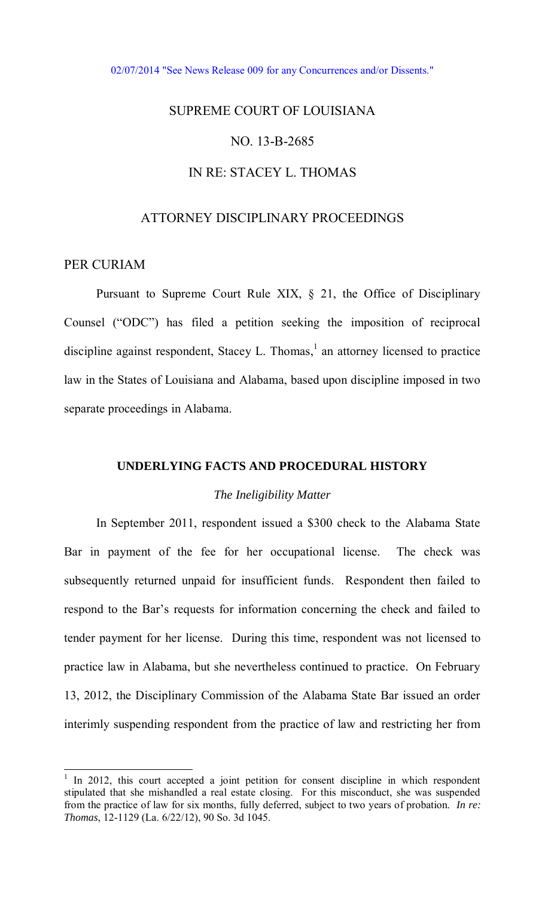#### [02/07/2014 "See News Release 009 for any Concurrences and/or Dissents."](http://www.lasc.org/Actions?p=2014-009)

# SUPREME COURT OF LOUISIANA

# NO. 13-B-2685

# IN RE: STACEY L. THOMAS

## ATTORNEY DISCIPLINARY PROCEEDINGS

## PER CURIAM

 $\overline{a}$ 

 Pursuant to Supreme Court Rule XIX, § 21, the Office of Disciplinary Counsel ("ODC") has filed a petition seeking the imposition of reciprocal discipline against respondent, Stacey L. Thomas, $<sup>1</sup>$  an attorney licensed to practice</sup> law in the States of Louisiana and Alabama, based upon discipline imposed in two separate proceedings in Alabama.

# **UNDERLYING FACTS AND PROCEDURAL HISTORY**

#### *The Ineligibility Matter*

 In September 2011, respondent issued a \$300 check to the Alabama State Bar in payment of the fee for her occupational license. The check was subsequently returned unpaid for insufficient funds. Respondent then failed to respond to the Bar's requests for information concerning the check and failed to tender payment for her license. During this time, respondent was not licensed to practice law in Alabama, but she nevertheless continued to practice. On February 13, 2012, the Disciplinary Commission of the Alabama State Bar issued an order interimly suspending respondent from the practice of law and restricting her from

<sup>&</sup>lt;sup>1</sup> In 2012, this court accepted a joint petition for consent discipline in which respondent stipulated that she mishandled a real estate closing. For this misconduct, she was suspended from the practice of law for six months, fully deferred, subject to two years of probation. *In re: Thomas*, 12-1129 (La. 6/22/12), 90 So. 3d 1045.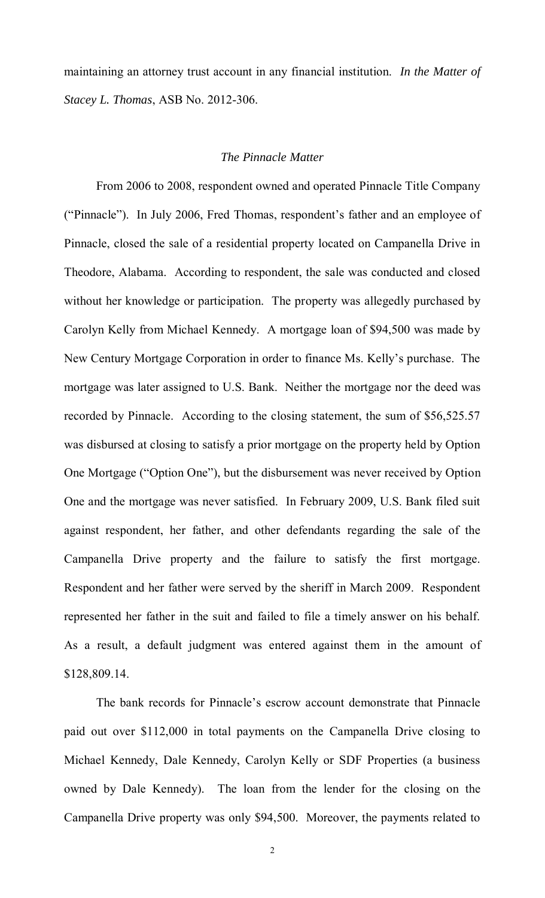maintaining an attorney trust account in any financial institution. *In the Matter of Stacey L. Thomas*, ASB No. 2012-306.

## *The Pinnacle Matter*

From 2006 to 2008, respondent owned and operated Pinnacle Title Company ("Pinnacle"). In July 2006, Fred Thomas, respondent's father and an employee of Pinnacle, closed the sale of a residential property located on Campanella Drive in Theodore, Alabama. According to respondent, the sale was conducted and closed without her knowledge or participation. The property was allegedly purchased by Carolyn Kelly from Michael Kennedy. A mortgage loan of \$94,500 was made by New Century Mortgage Corporation in order to finance Ms. Kelly's purchase. The mortgage was later assigned to U.S. Bank. Neither the mortgage nor the deed was recorded by Pinnacle. According to the closing statement, the sum of \$56,525.57 was disbursed at closing to satisfy a prior mortgage on the property held by Option One Mortgage ("Option One"), but the disbursement was never received by Option One and the mortgage was never satisfied. In February 2009, U.S. Bank filed suit against respondent, her father, and other defendants regarding the sale of the Campanella Drive property and the failure to satisfy the first mortgage. Respondent and her father were served by the sheriff in March 2009. Respondent represented her father in the suit and failed to file a timely answer on his behalf. As a result, a default judgment was entered against them in the amount of \$128,809.14.

The bank records for Pinnacle's escrow account demonstrate that Pinnacle paid out over \$112,000 in total payments on the Campanella Drive closing to Michael Kennedy, Dale Kennedy, Carolyn Kelly or SDF Properties (a business owned by Dale Kennedy). The loan from the lender for the closing on the Campanella Drive property was only \$94,500. Moreover, the payments related to

2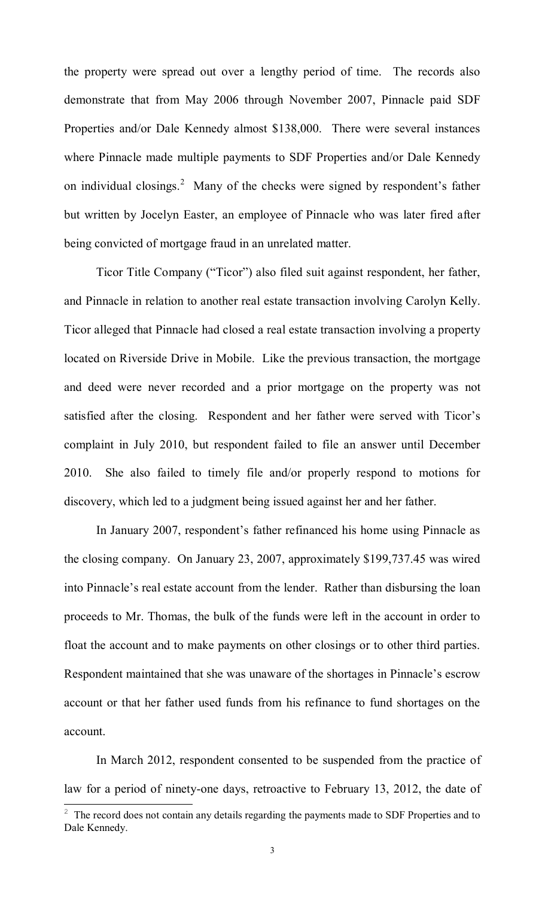the property were spread out over a lengthy period of time. The records also demonstrate that from May 2006 through November 2007, Pinnacle paid SDF Properties and/or Dale Kennedy almost \$138,000. There were several instances where Pinnacle made multiple payments to SDF Properties and/or Dale Kennedy on individual closings.<sup>2</sup> Many of the checks were signed by respondent's father but written by Jocelyn Easter, an employee of Pinnacle who was later fired after being convicted of mortgage fraud in an unrelated matter.

Ticor Title Company ("Ticor") also filed suit against respondent, her father, and Pinnacle in relation to another real estate transaction involving Carolyn Kelly. Ticor alleged that Pinnacle had closed a real estate transaction involving a property located on Riverside Drive in Mobile. Like the previous transaction, the mortgage and deed were never recorded and a prior mortgage on the property was not satisfied after the closing. Respondent and her father were served with Ticor's complaint in July 2010, but respondent failed to file an answer until December 2010. She also failed to timely file and/or properly respond to motions for discovery, which led to a judgment being issued against her and her father.

In January 2007, respondent's father refinanced his home using Pinnacle as the closing company. On January 23, 2007, approximately \$199,737.45 was wired into Pinnacle's real estate account from the lender. Rather than disbursing the loan proceeds to Mr. Thomas, the bulk of the funds were left in the account in order to float the account and to make payments on other closings or to other third parties. Respondent maintained that she was unaware of the shortages in Pinnacle's escrow account or that her father used funds from his refinance to fund shortages on the account.

In March 2012, respondent consented to be suspended from the practice of law for a period of ninety-one days, retroactive to February 13, 2012, the date of

 $\overline{a}$ 

 $2\degree$  The record does not contain any details regarding the payments made to SDF Properties and to Dale Kennedy.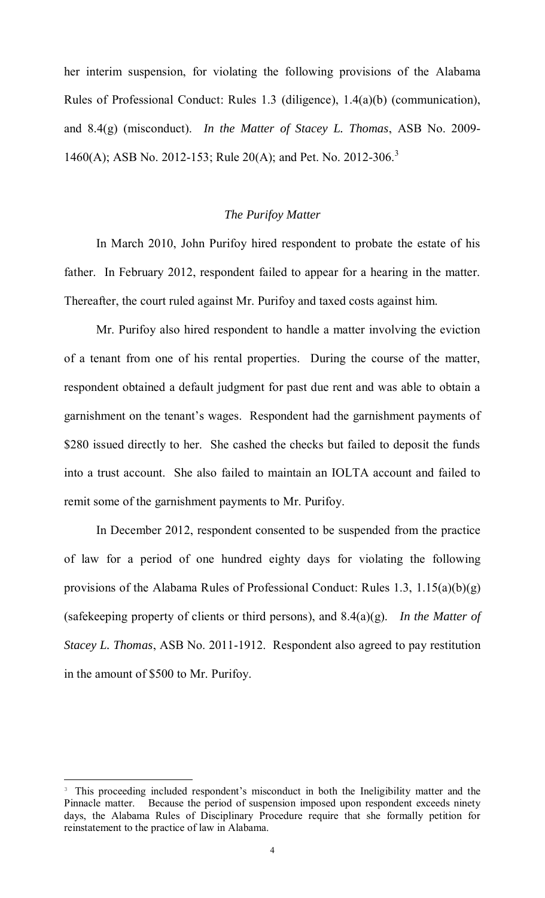her interim suspension, for violating the following provisions of the Alabama Rules of Professional Conduct: Rules 1.3 (diligence), 1.4(a)(b) (communication), and 8.4(g) (misconduct). *In the Matter of Stacey L. Thomas*, ASB No. 2009- 1460(A); ASB No. 2012-153; Rule 20(A); and Pet. No. 2012-306.<sup>3</sup>

## *The Purifoy Matter*

 In March 2010, John Purifoy hired respondent to probate the estate of his father. In February 2012, respondent failed to appear for a hearing in the matter. Thereafter, the court ruled against Mr. Purifoy and taxed costs against him.

 Mr. Purifoy also hired respondent to handle a matter involving the eviction of a tenant from one of his rental properties. During the course of the matter, respondent obtained a default judgment for past due rent and was able to obtain a garnishment on the tenant's wages. Respondent had the garnishment payments of \$280 issued directly to her. She cashed the checks but failed to deposit the funds into a trust account. She also failed to maintain an IOLTA account and failed to remit some of the garnishment payments to Mr. Purifoy.

In December 2012, respondent consented to be suspended from the practice of law for a period of one hundred eighty days for violating the following provisions of the Alabama Rules of Professional Conduct: Rules 1.3, 1.15(a)(b)(g) (safekeeping property of clients or third persons), and 8.4(a)(g). *In the Matter of Stacey L. Thomas*, ASB No. 2011-1912. Respondent also agreed to pay restitution in the amount of \$500 to Mr. Purifoy.

 $\overline{a}$ 

<sup>&</sup>lt;sup>3</sup> This proceeding included respondent's misconduct in both the Ineligibility matter and the Pinnacle matter. Because the period of suspension imposed upon respondent exceeds ninety days, the Alabama Rules of Disciplinary Procedure require that she formally petition for reinstatement to the practice of law in Alabama.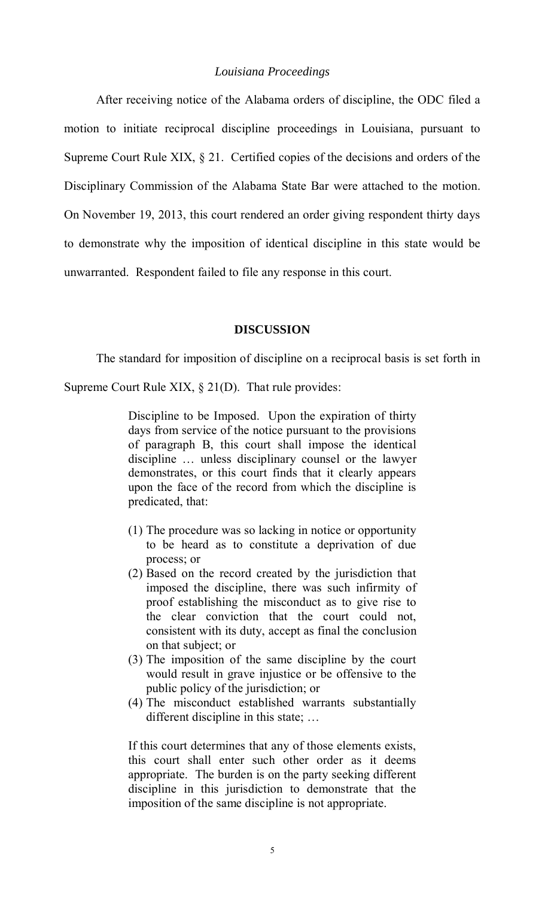### *Louisiana Proceedings*

 After receiving notice of the Alabama orders of discipline, the ODC filed a motion to initiate reciprocal discipline proceedings in Louisiana, pursuant to Supreme Court Rule XIX, § 21. Certified copies of the decisions and orders of the Disciplinary Commission of the Alabama State Bar were attached to the motion. On November 19, 2013, this court rendered an order giving respondent thirty days to demonstrate why the imposition of identical discipline in this state would be unwarranted. Respondent failed to file any response in this court.

#### **DISCUSSION**

The standard for imposition of discipline on a reciprocal basis is set forth in

Supreme Court Rule XIX, § 21(D). That rule provides:

Discipline to be Imposed. Upon the expiration of thirty days from service of the notice pursuant to the provisions of paragraph B, this court shall impose the identical discipline … unless disciplinary counsel or the lawyer demonstrates, or this court finds that it clearly appears upon the face of the record from which the discipline is predicated, that:

- (1) The procedure was so lacking in notice or opportunity to be heard as to constitute a deprivation of due process; or
- (2) Based on the record created by the jurisdiction that imposed the discipline, there was such infirmity of proof establishing the misconduct as to give rise to the clear conviction that the court could not, consistent with its duty, accept as final the conclusion on that subject; or
- (3) The imposition of the same discipline by the court would result in grave injustice or be offensive to the public policy of the jurisdiction; or
- (4) The misconduct established warrants substantially different discipline in this state; …

If this court determines that any of those elements exists, this court shall enter such other order as it deems appropriate. The burden is on the party seeking different discipline in this jurisdiction to demonstrate that the imposition of the same discipline is not appropriate.